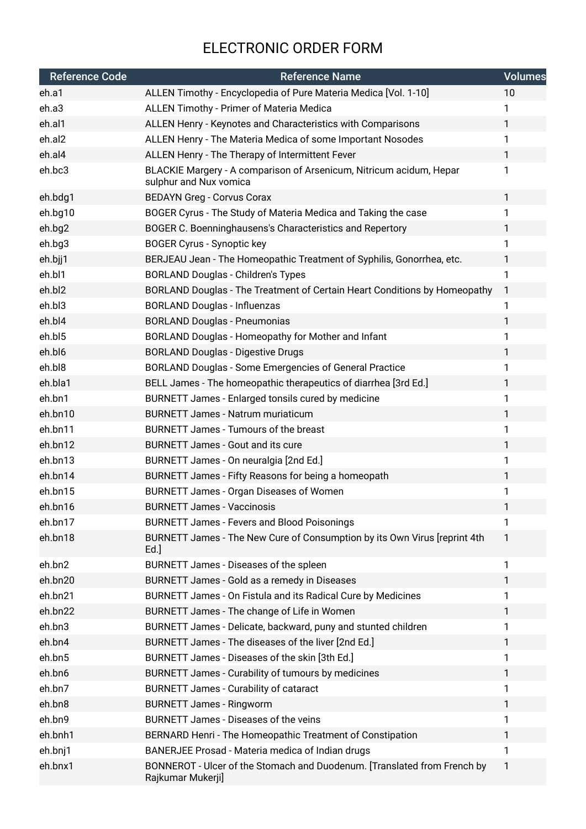## ELECTRONIC ORDER FORM

| <b>Reference Code</b> | Reference Name                                                                                | <b>Volumes</b> |
|-----------------------|-----------------------------------------------------------------------------------------------|----------------|
| eh.a1                 | ALLEN Timothy - Encyclopedia of Pure Materia Medica [Vol. 1-10]                               | 10             |
| eh.a3                 | ALLEN Timothy - Primer of Materia Medica                                                      | 1              |
| eh.al1                | ALLEN Henry - Keynotes and Characteristics with Comparisons                                   | 1              |
| eh.al2                | ALLEN Henry - The Materia Medica of some Important Nosodes                                    | 1              |
| eh.al4                | ALLEN Henry - The Therapy of Intermittent Fever                                               | 1              |
| eh.bc3                | BLACKIE Margery - A comparison of Arsenicum, Nitricum acidum, Hepar<br>sulphur and Nux vomica | 1              |
| eh.bdg1               | <b>BEDAYN Greg - Corvus Corax</b>                                                             | 1              |
| eh.bg10               | BOGER Cyrus - The Study of Materia Medica and Taking the case                                 | 1              |
| eh.bg2                | BOGER C. Boenninghausens's Characteristics and Repertory                                      | 1              |
| eh.bg3                | <b>BOGER Cyrus - Synoptic key</b>                                                             | 1              |
| eh.bjj1               | BERJEAU Jean - The Homeopathic Treatment of Syphilis, Gonorrhea, etc.                         | 1              |
| eh.bl1                | <b>BORLAND Douglas - Children's Types</b>                                                     | 1              |
| eh.bl2                | BORLAND Douglas - The Treatment of Certain Heart Conditions by Homeopathy                     | 1              |
| eh.bl3                | <b>BORLAND Douglas - Influenzas</b>                                                           | 1              |
| eh.bl4                | <b>BORLAND Douglas - Pneumonias</b>                                                           | 1              |
| eh.bl5                | BORLAND Douglas - Homeopathy for Mother and Infant                                            | 1              |
| eh.bl6                | <b>BORLAND Douglas - Digestive Drugs</b>                                                      | 1              |
| eh.bl8                | BORLAND Douglas - Some Emergencies of General Practice                                        | 1              |
| eh.bla1               | BELL James - The homeopathic therapeutics of diarrhea [3rd Ed.]                               | 1              |
| eh.bn1                | BURNETT James - Enlarged tonsils cured by medicine                                            | 1              |
| eh.bn10               | <b>BURNETT James - Natrum muriaticum</b>                                                      | 1              |
| eh.bn11               | BURNETT James - Tumours of the breast                                                         | 1              |
| eh.bn12               | <b>BURNETT James - Gout and its cure</b>                                                      | 1              |
| eh.bn13               | BURNETT James - On neuralgia [2nd Ed.]                                                        | 1              |
| eh.bn14               | BURNETT James - Fifty Reasons for being a homeopath                                           | 1              |
| eh.bn15               | <b>BURNETT James - Organ Diseases of Women</b>                                                | 1              |
| eh.bn16               | BURNETT James - Vaccinosis                                                                    |                |
| eh.bn17               | <b>BURNETT James - Fevers and Blood Poisonings</b>                                            | 1              |
| eh.bn18               | BURNETT James - The New Cure of Consumption by its Own Virus [reprint 4th<br>$Ed.$ ]          | 1              |
| eh.bn2                | BURNETT James - Diseases of the spleen                                                        | 1              |
| eh.bn20               | BURNETT James - Gold as a remedy in Diseases                                                  | 1              |
| eh.bn21               | BURNETT James - On Fistula and its Radical Cure by Medicines                                  | 1              |
| eh.bn22               | BURNETT James - The change of Life in Women                                                   | 1              |
| eh.bn3                | BURNETT James - Delicate, backward, puny and stunted children                                 | 1              |
| eh.bn4                | BURNETT James - The diseases of the liver [2nd Ed.]                                           | 1              |
| eh.bn5                | BURNETT James - Diseases of the skin [3th Ed.]                                                | 1              |
| eh.bn6                | BURNETT James - Curability of tumours by medicines                                            | 1              |
| eh.bn7                | <b>BURNETT James - Curability of cataract</b>                                                 | 1              |
| eh.bn8                | <b>BURNETT James - Ringworm</b>                                                               | 1              |
| eh.bn9                | BURNETT James - Diseases of the veins                                                         | 1              |
| eh.bnh1               | BERNARD Henri - The Homeopathic Treatment of Constipation                                     | 1              |
| eh.bnj1               | BANERJEE Prosad - Materia medica of Indian drugs                                              | 1              |
| eh.bnx1               | BONNEROT - Ulcer of the Stomach and Duodenum. [Translated from French by<br>Rajkumar Mukerji] | 1              |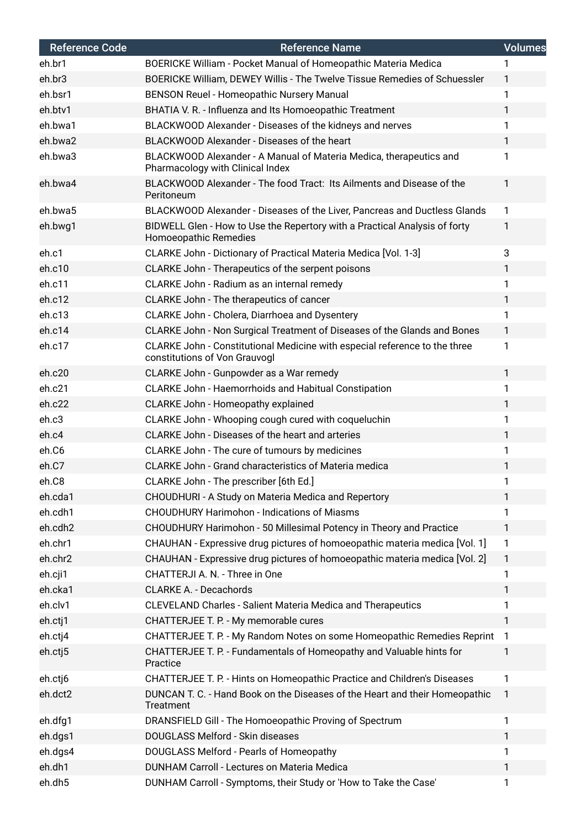| <b>Reference Code</b> | <b>Reference Name</b>                                                                                       | <b>Volumes</b> |
|-----------------------|-------------------------------------------------------------------------------------------------------------|----------------|
| eh.br1                | BOERICKE William - Pocket Manual of Homeopathic Materia Medica                                              | 1              |
| eh.br3                | BOERICKE William, DEWEY Willis - The Twelve Tissue Remedies of Schuessler                                   | 1              |
| eh.bsr1               | BENSON Reuel - Homeopathic Nursery Manual                                                                   | 1              |
| eh.btv1               | BHATIA V. R. - Influenza and Its Homoeopathic Treatment                                                     | 1              |
| eh.bwa1               | BLACKWOOD Alexander - Diseases of the kidneys and nerves                                                    | 1              |
| eh.bwa2               | BLACKWOOD Alexander - Diseases of the heart                                                                 | 1.             |
| eh.bwa3               | BLACKWOOD Alexander - A Manual of Materia Medica, therapeutics and<br>Pharmacology with Clinical Index      | 1              |
| eh.bwa4               | BLACKWOOD Alexander - The food Tract: Its Ailments and Disease of the<br>Peritoneum                         | 1              |
| eh.bwa5               | BLACKWOOD Alexander - Diseases of the Liver, Pancreas and Ductless Glands                                   | 1              |
| eh.bwg1               | BIDWELL Glen - How to Use the Repertory with a Practical Analysis of forty<br>Homoeopathic Remedies         | 1              |
| eh.c1                 | CLARKE John - Dictionary of Practical Materia Medica [Vol. 1-3]                                             | 3              |
| eh.c10                | CLARKE John - Therapeutics of the serpent poisons                                                           | 1              |
| eh.c11                | CLARKE John - Radium as an internal remedy                                                                  | 1              |
| eh.c12                | CLARKE John - The therapeutics of cancer                                                                    | 1              |
| eh.c13                | CLARKE John - Cholera, Diarrhoea and Dysentery                                                              | 1              |
| eh.c14                | CLARKE John - Non Surgical Treatment of Diseases of the Glands and Bones                                    | 1              |
| eh.c17                | CLARKE John - Constitutional Medicine with especial reference to the three<br>constitutions of Von Grauvogl | 1              |
| eh.c20                | CLARKE John - Gunpowder as a War remedy                                                                     | 1              |
| eh.c21                | <b>CLARKE John - Haemorrhoids and Habitual Constipation</b>                                                 | 1              |
| eh.c22                | CLARKE John - Homeopathy explained                                                                          | 1              |
| eh.c3                 | CLARKE John - Whooping cough cured with coqueluchin                                                         | 1              |
| eh.c4                 | CLARKE John - Diseases of the heart and arteries                                                            | 1              |
| eh.C6                 | CLARKE John - The cure of tumours by medicines                                                              | 1              |
| eh.C7                 | CLARKE John - Grand characteristics of Materia medica                                                       | 1              |
| eh.C8                 | CLARKE John - The prescriber [6th Ed.]                                                                      | 1              |
| eh.cda1               | CHOUDHURI - A Study on Materia Medica and Repertory                                                         | 1              |
| eh.cdh1               | <b>CHOUDHURY Harimohon - Indications of Miasms</b>                                                          | 1              |
| eh.cdh2               | CHOUDHURY Harimohon - 50 Millesimal Potency in Theory and Practice                                          | 1              |
| eh.chr1               | CHAUHAN - Expressive drug pictures of homoeopathic materia medica [Vol. 1]                                  | 1              |
| eh.chr2               | CHAUHAN - Expressive drug pictures of homoeopathic materia medica [Vol. 2]                                  | $\mathbf{1}$   |
| eh.cji1               | CHATTERJI A. N. - Three in One                                                                              | 1              |
| eh.cka1               | <b>CLARKE A. - Decachords</b>                                                                               | 1              |
| eh.clv1               | <b>CLEVELAND Charles - Salient Materia Medica and Therapeutics</b>                                          | 1              |
| eh.ctj1               | CHATTERJEE T. P. - My memorable cures                                                                       | 1              |
| eh.ctj4               | CHATTERJEE T. P. - My Random Notes on some Homeopathic Remedies Reprint                                     | 1              |
| eh.ctj5               | CHATTERJEE T. P. - Fundamentals of Homeopathy and Valuable hints for<br>Practice                            | 1              |
| eh.ctj6               | CHATTERJEE T. P. - Hints on Homeopathic Practice and Children's Diseases                                    | 1              |
| eh.dct2               | DUNCAN T. C. - Hand Book on the Diseases of the Heart and their Homeopathic<br>Treatment                    | $\mathbf{1}$   |
| eh.dfg1               | DRANSFIELD Gill - The Homoeopathic Proving of Spectrum                                                      | 1              |
| eh.dgs1               | DOUGLASS Melford - Skin diseases                                                                            | 1              |
| eh.dgs4               | DOUGLASS Melford - Pearls of Homeopathy                                                                     | 1              |
| eh.dh1                | DUNHAM Carroll - Lectures on Materia Medica                                                                 | 1              |
| eh.dh5                | DUNHAM Carroll - Symptoms, their Study or 'How to Take the Case'                                            | 1              |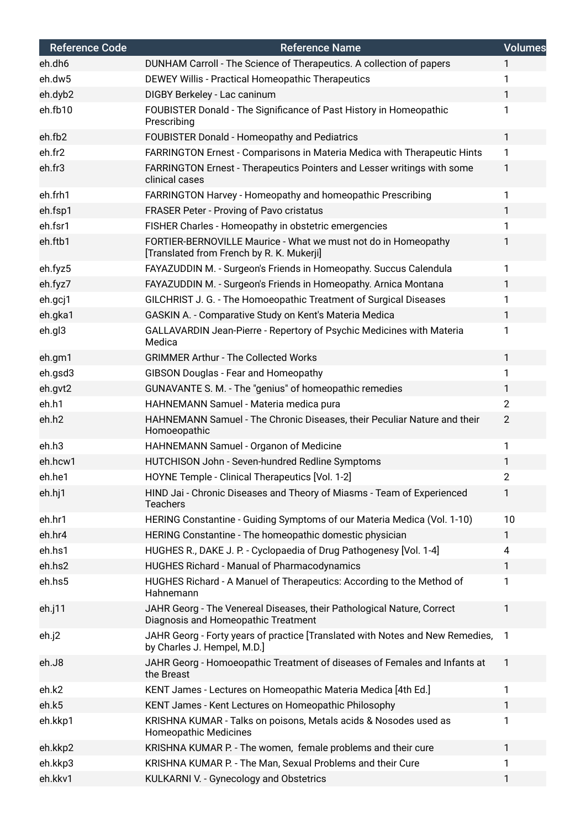| <b>Reference Code</b> | <b>Reference Name</b>                                                                                         | <b>Volumes</b> |
|-----------------------|---------------------------------------------------------------------------------------------------------------|----------------|
| eh.dh6                | DUNHAM Carroll - The Science of Therapeutics. A collection of papers                                          | $\mathbf{1}$   |
| eh.dw5                | DEWEY Willis - Practical Homeopathic Therapeutics                                                             | 1              |
| eh.dyb2               | DIGBY Berkeley - Lac caninum                                                                                  | $\mathbf{1}$   |
| eh.fb10               | FOUBISTER Donald - The Significance of Past History in Homeopathic<br>Prescribing                             | 1              |
| eh.fb2                | <b>FOUBISTER Donald - Homeopathy and Pediatrics</b>                                                           | $\mathbf{1}$   |
| eh.fr2                | FARRINGTON Ernest - Comparisons in Materia Medica with Therapeutic Hints                                      | $\mathbf{1}$   |
| eh.fr3                | FARRINGTON Ernest - Therapeutics Pointers and Lesser writings with some<br>clinical cases                     | $\mathbf{1}$   |
| eh.frh1               | FARRINGTON Harvey - Homeopathy and homeopathic Prescribing                                                    | $\mathbf{1}$   |
| eh.fsp1               | FRASER Peter - Proving of Pavo cristatus                                                                      | 1              |
| eh.fsr1               | FISHER Charles - Homeopathy in obstetric emergencies                                                          | 1              |
| eh.ftb1               | FORTIER-BERNOVILLE Maurice - What we must not do in Homeopathy<br>[Translated from French by R. K. Mukerji]   | 1              |
| eh.fyz5               | FAYAZUDDIN M. - Surgeon's Friends in Homeopathy. Succus Calendula                                             | $\mathbf{1}$   |
| eh.fyz7               | FAYAZUDDIN M. - Surgeon's Friends in Homeopathy. Arnica Montana                                               | $\mathbf{1}$   |
| eh.gcj1               | GILCHRIST J. G. - The Homoeopathic Treatment of Surgical Diseases                                             | 1              |
| eh.gka1               | GASKIN A. - Comparative Study on Kent's Materia Medica                                                        | $\mathbf{1}$   |
| eh.gl3                | GALLAVARDIN Jean-Pierre - Repertory of Psychic Medicines with Materia<br>Medica                               | 1              |
| eh.gm1                | <b>GRIMMER Arthur - The Collected Works</b>                                                                   | $\mathbf{1}$   |
| eh.gsd3               | GIBSON Douglas - Fear and Homeopathy                                                                          | $\mathbf{1}$   |
| eh.gvt2               | GUNAVANTE S. M. - The "genius" of homeopathic remedies                                                        | $\mathbf{1}$   |
| eh.h1                 | HAHNEMANN Samuel - Materia medica pura                                                                        | $\overline{2}$ |
| eh.h2                 | HAHNEMANN Samuel - The Chronic Diseases, their Peculiar Nature and their<br>Homoeopathic                      | $\overline{2}$ |
| eh.h3                 | HAHNEMANN Samuel - Organon of Medicine                                                                        | $\mathbf{1}$   |
| eh.hcw1               | HUTCHISON John - Seven-hundred Redline Symptoms                                                               | 1              |
| eh.he1                | HOYNE Temple - Clinical Therapeutics [Vol. 1-2]                                                               | 2              |
| eh.hj1                | HIND Jai - Chronic Diseases and Theory of Miasms - Team of Experienced<br><b>Teachers</b>                     | $\mathbf{1}$   |
| eh.hr1                | HERING Constantine - Guiding Symptoms of our Materia Medica (Vol. 1-10)                                       | 10             |
| eh.hr4                | HERING Constantine - The homeopathic domestic physician                                                       | $\mathbf{1}$   |
| eh.hs1                | HUGHES R., DAKE J. P. - Cyclopaedia of Drug Pathogenesy [Vol. 1-4]                                            | 4              |
| eh.hs2                | HUGHES Richard - Manual of Pharmacodynamics                                                                   | $\mathbf{1}$   |
| eh.hs5                | HUGHES Richard - A Manuel of Therapeutics: According to the Method of<br>Hahnemann                            | 1              |
| eh.j11                | JAHR Georg - The Venereal Diseases, their Pathological Nature, Correct<br>Diagnosis and Homeopathic Treatment | 1              |
| eh.j2                 | JAHR Georg - Forty years of practice [Translated with Notes and New Remedies,<br>by Charles J. Hempel, M.D.]  | $\mathbf{1}$   |
| eh.J8                 | JAHR Georg - Homoeopathic Treatment of diseases of Females and Infants at<br>the Breast                       | $\mathbf{1}$   |
| eh.k2                 | KENT James - Lectures on Homeopathic Materia Medica [4th Ed.]                                                 | 1              |
| eh.k5                 | KENT James - Kent Lectures on Homeopathic Philosophy                                                          | $\mathbf{1}$   |
| eh.kkp1               | KRISHNA KUMAR - Talks on poisons, Metals acids & Nosodes used as<br><b>Homeopathic Medicines</b>              | 1              |
| eh.kkp2               | KRISHNA KUMAR P. - The women, female problems and their cure                                                  | 1              |
| eh.kkp3               | KRISHNA KUMAR P. - The Man, Sexual Problems and their Cure                                                    | 1              |
| eh.kkv1               | KULKARNI V. - Gynecology and Obstetrics                                                                       | 1              |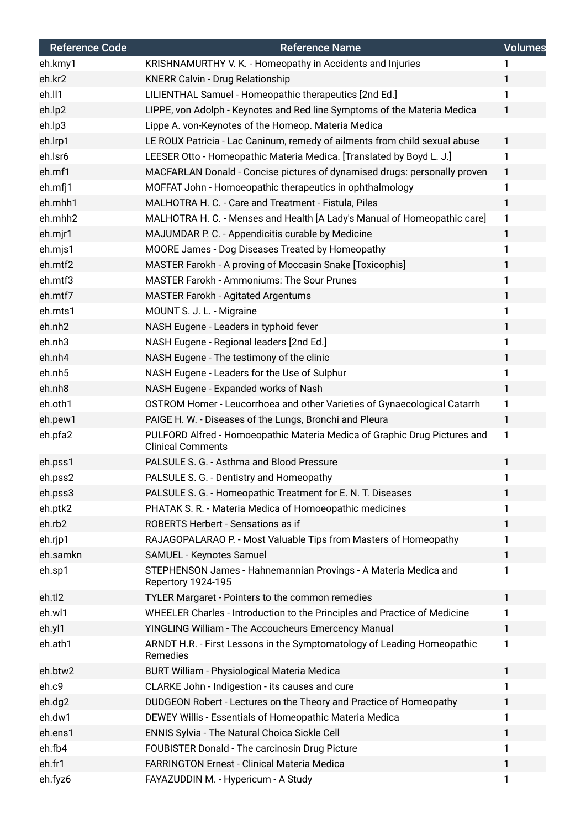| <b>Reference Code</b> | <b>Reference Name</b>                                                                                 | <b>Volumes</b> |
|-----------------------|-------------------------------------------------------------------------------------------------------|----------------|
| eh.kmy1               | KRISHNAMURTHY V. K. - Homeopathy in Accidents and Injuries                                            | 1              |
| eh.kr2                | <b>KNERR Calvin - Drug Relationship</b>                                                               | 1              |
| eh.ll1                | LILIENTHAL Samuel - Homeopathic therapeutics [2nd Ed.]                                                | 1              |
| eh.lp2                | LIPPE, von Adolph - Keynotes and Red line Symptoms of the Materia Medica                              | $\mathbf{1}$   |
| eh.lp3                | Lippe A. von-Keynotes of the Homeop. Materia Medica                                                   |                |
| eh.lrp1               | LE ROUX Patricia - Lac Caninum, remedy of ailments from child sexual abuse                            | $\mathbf{1}$   |
| eh.lsr6               | LEESER Otto - Homeopathic Materia Medica. [Translated by Boyd L. J.]                                  | 1              |
| eh.mf1                | MACFARLAN Donald - Concise pictures of dynamised drugs: personally proven                             | $\mathbf{1}$   |
| eh.mfj1               | MOFFAT John - Homoeopathic therapeutics in ophthalmology                                              | 1              |
| eh.mhh1               | MALHOTRA H. C. - Care and Treatment - Fistula, Piles                                                  | $\mathbf{1}$   |
| eh.mhh2               | MALHOTRA H. C. - Menses and Health [A Lady's Manual of Homeopathic care]                              | $\mathbf{1}$   |
| eh.mjr1               | MAJUMDAR P. C. - Appendicitis curable by Medicine                                                     | 1              |
| eh.mjs1               | MOORE James - Dog Diseases Treated by Homeopathy                                                      | 1              |
| eh.mtf2               | MASTER Farokh - A proving of Moccasin Snake [Toxicophis]                                              | 1              |
| eh.mtf3               | <b>MASTER Farokh - Ammoniums: The Sour Prunes</b>                                                     | 1              |
| eh.mtf7               | <b>MASTER Farokh - Agitated Argentums</b>                                                             | 1              |
| eh.mts1               | MOUNT S. J. L. - Migraine                                                                             | 1              |
| eh.nh2                | NASH Eugene - Leaders in typhoid fever                                                                | 1              |
| eh.nh3                | NASH Eugene - Regional leaders [2nd Ed.]                                                              | 1              |
| eh.nh4                | NASH Eugene - The testimony of the clinic                                                             | 1              |
| eh.nh5                | NASH Eugene - Leaders for the Use of Sulphur                                                          | $\mathbf{1}$   |
| eh.nh8                | NASH Eugene - Expanded works of Nash                                                                  | 1              |
| eh.oth1               | OSTROM Homer - Leucorrhoea and other Varieties of Gynaecological Catarrh                              | 1              |
| eh.pew1               | PAIGE H. W. - Diseases of the Lungs, Bronchi and Pleura                                               | $\mathbf{1}$   |
| eh.pfa2               | PULFORD Alfred - Homoeopathic Materia Medica of Graphic Drug Pictures and<br><b>Clinical Comments</b> | $\mathbf{1}$   |
| eh.pss1               | PALSULE S. G. - Asthma and Blood Pressure                                                             | 1              |
| eh.pss2               | PALSULE S. G. - Dentistry and Homeopathy                                                              |                |
| eh.pss3               | PALSULE S. G. - Homeopathic Treatment for E. N. T. Diseases                                           | $\mathbf{1}$   |
| eh.ptk2               | PHATAK S. R. - Materia Medica of Homoeopathic medicines                                               | 1              |
| eh.rb2                | ROBERTS Herbert - Sensations as if                                                                    | 1              |
| eh.rjp1               | RAJAGOPALARAO P. - Most Valuable Tips from Masters of Homeopathy                                      | 1              |
| eh.samkn              | SAMUEL - Keynotes Samuel                                                                              | $\mathbf{1}$   |
| eh.sp1                | STEPHENSON James - Hahnemannian Provings - A Materia Medica and<br>Repertory 1924-195                 | 1              |
| eh.tl2                | TYLER Margaret - Pointers to the common remedies                                                      | $\mathbf{1}$   |
| eh.wl1                | WHEELER Charles - Introduction to the Principles and Practice of Medicine                             | 1              |
| eh.yl1                | YINGLING William - The Accoucheurs Emercency Manual                                                   | $\mathbf{1}$   |
| eh.ath1               | ARNDT H.R. - First Lessons in the Symptomatology of Leading Homeopathic<br>Remedies                   | $\mathbf{1}$   |
| eh.btw2               | BURT William - Physiological Materia Medica                                                           | $\mathbf{1}$   |
| eh.c9                 | CLARKE John - Indigestion - its causes and cure                                                       | 1              |
| eh.dg2                | DUDGEON Robert - Lectures on the Theory and Practice of Homeopathy                                    | $\mathbf{1}$   |
| eh.dw1                | DEWEY Willis - Essentials of Homeopathic Materia Medica                                               | 1              |
| eh.ens1               | ENNIS Sylvia - The Natural Choica Sickle Cell                                                         | $\mathbf{1}$   |
| eh.fb4                | FOUBISTER Donald - The carcinosin Drug Picture                                                        | 1              |
| eh.fr1                | <b>FARRINGTON Ernest - Clinical Materia Medica</b>                                                    | 1              |
| eh.fyz6               | FAYAZUDDIN M. - Hypericum - A Study                                                                   | 1              |